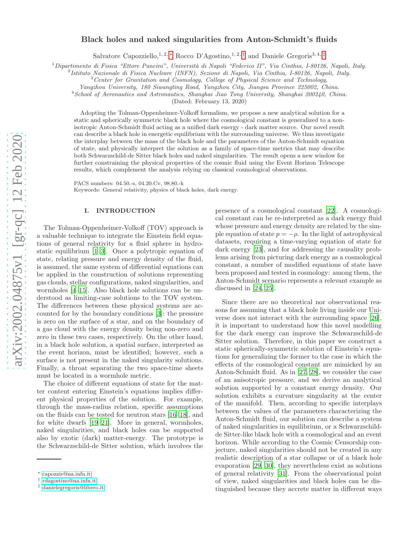# arXiv:2002.04875v1 [gr-qc] 12 Feb 2020 [arXiv:2002.04875v1 \[gr-qc\] 12 Feb 2020](http://arxiv.org/abs/2002.04875v1)

# Black holes and naked singularities from Anton-Schmidt's fluids

Salvatore Capozziello,<sup>1, 2, \*</sup> Rocco D'Agostino,<sup>1, 2, [†](#page-0-1)</sup> and Daniele Gregoris<sup>3, 4, [‡](#page-0-2)</sup>

 $1$ Dipartimento di Fisica "Ettore Pancini", Università di Napoli "Federico II", Via Cinthia, I-80126, Napoli, Italy.

2 Istituto Nazionale di Fisica Nucleare (INFN), Sezione di Napoli, Via Cinthia, I-80126, Napoli, Italy.

 $3$  Center for Gravitation and Cosmology, College of Physical Science and Technology,

Yangzhou University, 180 Siwangting Road, Yangzhou City, Jiangsu Province 225002, China.

<sup>4</sup> School of Aeronautics and Astronautics, Shanghai Jiao Tong University, Shanghai 200240, China.

(Dated: February 13, 2020)

Adopting the Tolman-Oppenheimer-Volkoff formalism, we propose a new analytical solution for a static and spherically symmetric black hole where the cosmological constant is generalized to a nonisotropic Anton-Schmidt fluid acting as a unified dark energy - dark matter source. Our novel result can describe a black hole in energetic equilibrium with the surrounding universe. We thus investigate the interplay between the mass of the black hole and the parameters of the Anton-Schmidt equation of state, and physically interpret the solution as a family of space-time metrics that may describe both Schwarzschild-de Sitter black holes and naked singularities. The result opens a new window for further constraining the physical properties of the cosmic fluid using the Event Horizon Telescope results, which complement the analysis relying on classical cosmological observations.

PACS numbers: 04.50.-s, 04.20.Cv, 98.80.-k

Keywords: General relativity, physics of black holes, dark energy.

## I. INTRODUCTION

The Tolman-Oppenheimer-Volkoff (TOV) approach is a valuable technique to integrate the Einstein field equations of general relativity for a fluid sphere in hydrostatic equilibrium [\[1](#page-4-0)[–3](#page-4-1)]. Once a polytropic equation of state, relating pressure and energy density of the fluid, is assumed, the same system of differential equations can be applied in the construction of solutions representing gas clouds, stellar configurations, naked singularities, and wormholes [\[4](#page-4-2)[–15](#page-4-3)]. Also black hole solutions can be understood as limiting-case solutions to the TOV system. The differences between these physical systems are accounted for by the boundary conditions [\[3\]](#page-4-1): the pressure is zero on the surface of a star, and on the boundary of a gas cloud with the energy density being non-zero and zero in these two cases, respectively. On the other hand, in a black hole solution, a spatial surface, interpreted as the event horizon, must be identified; however, such a surface is not present in the naked singularity solutions. Finally, a throat separating the two space-time sheets must be located in a wormhole metric.

The choice of different equations of state for the matter content entering Einstein's equations implies different physical properties of the solution. For example, through the mass-radius relation, specific assumptions on the fluids can be tested for neutron stars [\[16](#page-4-4)[–18\]](#page-4-5), and for white dwarfs [\[19](#page-4-6)[–21\]](#page-5-0). More in general, wormholes, naked singularities, and black holes can be supported also by exotic (dark) matter-energy. The prototype is the Schwarzschild-de Sitter solution, which involves the

presence of a cosmological constant [\[22\]](#page-5-1). A cosmological constant can be re-interpreted as a dark energy fluid whose pressure and energy density are related by the simple equation of state  $p = -\rho$ . In the light of astrophysical datasets, requiring a time-varying equation of state for dark energy [\[23](#page-5-2)], and for addressing the causality problems arising from picturing dark energy as a cosmological constant, a number of modified equations of state have been proposed and tested in cosmology: among them, the Anton-Schmidt scenario represents a relevant example as discussed in [\[24,](#page-5-3) [25\]](#page-5-4).

Since there are no theoretical nor observational reasons for assuming that a black hole living inside our Universe does not interact with the surrounding space [\[26\]](#page-5-5), it is important to understand how this novel modelling for the dark energy can improve the Schwarzschild-de Sitter solution. Therefore, in this paper we construct a static spherically-symmetric solution of Einstein's equations for generalizing the former to the case in which the effects of the cosmological constant are mimicked by an Anton-Schmidt fluid. As in [\[27,](#page-5-6) [28\]](#page-5-7), we consider the case of an anisotropic pressure, and we derive an analytical solution supported by a constant energy density. Our solution exhibits a curvature singularity at the center of the manifold. Then, according to specific interplays between the values of the parameters characterizing the Anton-Schmidt fluid, our solution can describe a system of naked singularities in equilibrium, or a Schwarzschildde Sitter-like black hole with a cosmological and an event horizon. While according to the Cosmic Censorship conjecture, naked singularities should not be created in any realistic description of a star collapse or of a black hole evaporation [\[29](#page-5-8), [30\]](#page-5-9), they nevertheless exist as solutions of general relativity [\[31\]](#page-5-10). From the observational point of view, naked singularities and black holes can be distinguished because they accrete matter in different ways

<span id="page-0-0"></span><sup>∗</sup> [capozzie@na.infn.it](mailto:capozzie@na.infn.it)

<span id="page-0-1"></span><sup>†</sup> [rdagostino@na.infn.it](mailto:rdagostino@na.infn.it)

<span id="page-0-2"></span><sup>‡</sup> [danielegregoris@libero.it](mailto:danielegregoris@libero.it)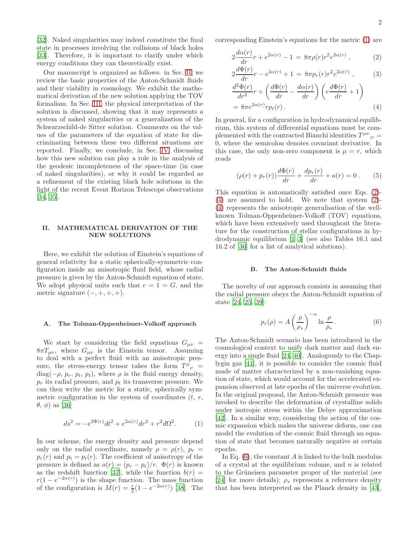[\[32\]](#page-5-11). Naked singularities may indeed constitute the final state in processes involving the collisions of black holes [\[33\]](#page-5-12). Therefore, it is important to clarify under which energy conditions they can theoretically exist.

Our manuscript is organized as follows: in Sec. [II,](#page-1-0) we review the basic properties of the Anton-Schmidt fluids and their viability in cosmology. We exhibit the mathematical derivation of the new solution applying the TOV formalism. In Sec. [III,](#page-3-0) the physical interpretation of the solution is discussed, showing that it may represents a system of naked singularities or a generalization of the Schwarzschild-de Sitter solution. Comments on the values of the parameters of the equation of state for discriminating between these two different situations are reported. Finally, we conclude, in Sec. [IV,](#page-4-7) discussing how this new solution can play a role in the analysis of the geodesic incompleteness of the space-time (in case of naked singularities), or why it could be regarded as a refinement of the existing black hole solutions in the light of the recent Event Horizon Telescope observations [\[34,](#page-5-13) [35\]](#page-5-14).

# <span id="page-1-0"></span>II. MATHEMATICAL DERIVATION OF THE NEW SOLUTIONS

Here, we exhibit the solution of Einstein's equations of general relativity for a static spherically-symmetric configuration inside an anisotropic fluid field, whose radial pressure is given by the Anton-Schmidt equation of state. We adopt physical units such that  $c = 1 = G$ , and the metric signature  $(-, +, +, +).$ 

### A. The Tolman-Oppenheimer-Volkoff approach

We start by considering the field equations  $G_{\mu\nu}$  =  $8\pi T_{\mu\nu}$ , where  $G_{\mu\nu}$  is the Einstein tensor. Assuming to deal with a perfect fluid with an anisotropic pressure, the stress-energy tensor takes the form  $T^{\mu}{}_{\nu}$  =  $diag(-\rho, p_r, p_t, p_t)$ , where  $\rho$  is the fluid energy density,  $p_r$  its radial pressure, and  $p_t$  its transverse pressure. We can then write the metric for a static, spherically symmetric configuration in the system of coordinates  $(t, r, t)$  $(\theta, \phi)$  as [\[36](#page-5-15)]

<span id="page-1-1"></span>
$$
ds^{2} = -e^{2\Phi(r)}dt^{2} + e^{2\alpha(r)}dr^{2} + r^{2}d\Omega^{2}.
$$
 (1)

In our scheme, the energy density and pressure depend only on the radial coordinate, namely  $\rho = \rho(r)$ ,  $p_r =$  $p_r(r)$  and  $p_t = p_t(r)$ . The coefficient of anisotropy of the pressure is defined as  $a(r) = (p_r - p_t)/r$ .  $\Phi(r)$  is known as the redshift function [\[37](#page-5-16)], while the function  $b(r)$  =  $r(1 - e^{-2\alpha(r)})$  is the shape function. The mass function of the configuration is  $M(r) = \frac{r}{2}(1 - e^{-2\alpha(r)})$  [\[38\]](#page-5-17). The

corresponding Einstein's equations for the metric [\(1\)](#page-1-1) are

<span id="page-1-2"></span>
$$
2\frac{d\alpha(r)}{dr}r + e^{2\alpha(r)} - 1 = 8\pi\rho(r)r^2e^{2\alpha(r)},
$$
 (2)

$$
2\frac{d\Phi(r)}{dr}r - e^{2\alpha(r)} + 1 = 8\pi p_r(r)r^2e^{2\alpha(r)},
$$
 (3)

$$
\frac{d^2\Phi(r)}{dr^2}r + \left(\frac{d\Phi(r)}{dr} - \frac{d\alpha(r)}{dr}\right)\left(r\frac{d\Phi(r)}{dr} + 1\right)
$$
  
=  $8\pi e^{2\alpha(r)}rp_t(r)$ . (4)

In general, for a configuration in hydrodynamical equilibrium, this system of differential equations must be complemented with the contracted Bianchi identities  $T^{\mu\nu}{}_{;\nu} =$ 0, where the semicolon denotes covariant derivative. In this case, the only non-zero component is  $\mu = r$ , which reads

$$
(\rho(r) + p_r(r))\frac{d\Phi(r)}{dr} + \frac{dp_r(r)}{dr} + a(r) = 0.
$$
 (5)

This equation is automatically satisfied once Eqs. [\(2\)](#page-1-2)- [\(4\)](#page-1-2) are assumed to hold. We note that system [\(2\)](#page-1-2)- [\(4\)](#page-1-2) represents the anisotropic generalisation of the wellknown Tolman-Oppenheimer-Volkoff (TOV) equations, which have been extensively used throughout the literature for the construction of stellar configurations in hydrodynamic equilibrium [\[1](#page-4-0)[–3\]](#page-4-1) (see also Tables 16.1 and 16.2 of [\[36](#page-5-15)] for a list of analytical solutions).

# B. The Anton-Schmidt fluids

The novelty of our approach consists in assuming that the radial pressure obeys the Anton-Schmidt equation of state [\[24](#page-5-3), [25](#page-5-4), [39](#page-5-18)]:

<span id="page-1-3"></span>
$$
p_r(\rho) = A \left(\frac{\rho}{\rho_*}\right)^{-n} \ln \frac{\rho}{\rho_*}.
$$
 (6)

The Anton-Schmidt scenario has been introduced in the cosmological context to unify dark matter and dark energy into a single fluid [\[24,](#page-5-3) [40](#page-5-19)]. Analogously to the Chaplygin gas [\[41\]](#page-5-20), it is possible to consider the cosmic fluid made of matter characterized by a non-vanishing equation of state, which would account for the accelerated expansion observed at late epochs of the universe evolution. In the original proposal, the Anton-Schmidt pressure was invoked to describe the deformation of crystalline solids under isotropic stress within the Debye approximation [\[42\]](#page-5-21). In a similar way, considering the action of the cosmic expansion which makes the universe deform, one can model the evolution of the cosmic fluid through an equation of state that becomes naturally negative at certain epochs.

In Eq.  $(6)$ , the constant A is linked to the bulk modulus of a crystal at the equilibrium volume, and  $n$  is related to the Grüneisen parameter proper of the material (see [\[24\]](#page-5-3) for more details);  $\rho_*$  represents a reference density that has been interpreted as the Planck density in [\[43\]](#page-5-22),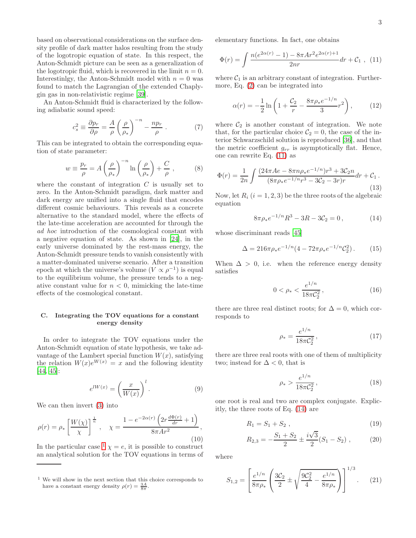based on observational considerations on the surface density profile of dark matter halos resulting from the study of the logotropic equation of state. In this respect, the Anton-Schmidt picture can be seen as a generalization of the logotropic fluid, which is recovered in the limit  $n = 0$ . Interestinlgy, the Anton-Schmidt model with  $n = 0$  was found to match the Lagrangian of the extended Chaplygin gas in non-relativistic regime [\[39\]](#page-5-18).

An Anton-Schmidt fluid is characterized by the following adiabatic sound speed:

$$
c_s^2 \equiv \frac{\partial p_r}{\partial \rho} = \frac{A}{\rho} \left(\frac{\rho}{\rho_*}\right)^{-n} - \frac{np_r}{\rho} \ . \tag{7}
$$

This can be integrated to obtain the corresponding equation of state parameter:

$$
w \equiv \frac{p_r}{\rho} = A \left(\frac{\rho}{\rho_*}\right)^{-n} \ln\left(\frac{\rho}{\rho_*}\right) + \frac{C}{\rho},\qquad (8)
$$

where the constant of integration  $C$  is usually set to zero. In the Anton-Schmidt paradigm, dark matter and dark energy are unified into a single fluid that encodes different cosmic behaviours. This reveals as a concrete alternative to the standard model, where the effects of the late-time acceleration are accounted for through the ad hoc introduction of the cosmological constant with a negative equation of state. As shown in [\[24](#page-5-3)], in the early universe dominated by the rest-mass energy, the Anton-Schmidt pressure tends to vanish consistently with a matter-dominated universe scenario. After a transition epoch at which the universe's volume  $(V \propto \rho^{-1})$  is equal to the equilibrium volume, the pressure tends to a negative constant value for  $n < 0$ , mimicking the late-time effects of the cosmological constant.

### C. Integrating the TOV equations for a constant energy density

In order to integrate the TOV equations under the Anton-Schmidt equation of state hypothesis, we take advantage of the Lambert special function  $W(x)$ , satisfying the relation  $W(x)e^{W(x)} = x$  and the following identity [\[44,](#page-5-23) [45\]](#page-5-24):

$$
e^{lW(x)} = \left(\frac{x}{W(x)}\right)^l.
$$
\n(9)

We can then invert [\(3\)](#page-1-2) into

$$
\rho(r) = \rho_* \left[ \frac{W(\chi)}{\chi} \right]^{\frac{1}{n}}, \quad \chi = \frac{1 - e^{-2\alpha(r)} \left( 2r \frac{d\Phi(r)}{dr} + 1 \right)}{8\pi A r^2},\tag{10}
$$

In the particular case  $\frac{1}{\chi}$  $\frac{1}{\chi}$  $\frac{1}{\chi}$   $\approx$  e, it is possible to construct an analytical solution for the TOV equations in terms of elementary functions. In fact, one obtains

<span id="page-2-1"></span>
$$
\Phi(r) = \int \frac{n(e^{2\alpha(r)} - 1) - 8\pi A r^2 e^{2\alpha(r) + 1}}{2nr} dr + C_1 , \quad (11)
$$

where  $C_1$  is an arbitrary constant of integration. Furthermore, Eq. [\(2\)](#page-1-2) can be integrated into

<span id="page-2-3"></span>
$$
\alpha(r) = -\frac{1}{2}\ln\left(1 + \frac{\mathcal{C}_2}{r} - \frac{8\pi\rho_* e^{-1/n}}{3}r^2\right),\tag{12}
$$

where  $\mathcal{C}_2$  is another constant of integration. We note that, for the particular choice  $\mathcal{C}_2 = 0$ , the case of the interior Schwarzschild solution is reproduced [\[36\]](#page-5-15), and that the metric coefficient  $g_{rr}$  is asymptotically flat. Hence, one can rewrite Eq. [\(11\)](#page-2-1) as

$$
\Phi(r) = \frac{1}{2n} \int \frac{(24\pi Ae - 8\pi n \rho_* e^{-1/n})r^3 + 3\mathcal{C}_2 n}{(8\pi \rho_* e^{-1/n}r^3 - 3\mathcal{C}_2 - 3r)r} dr + \mathcal{C}_1.
$$
\n(13)

Now, let  $R_i$   $(i = 1, 2, 3)$  be the three roots of the algebraic equation

<span id="page-2-2"></span>
$$
8\pi \rho_* e^{-1/n} R^3 - 3R - 3\mathcal{C}_2 = 0, \qquad (14)
$$

whose discriminant reads [\[45\]](#page-5-24)

$$
\Delta = 216\pi \rho_* e^{-1/n} (4 - 72\pi \rho_* e^{-1/n} C_2^2). \tag{15}
$$

When  $\Delta > 0$ , i.e. when the reference energy density satisfies

$$
0 < \rho_* < \frac{e^{1/n}}{18\pi \mathcal{C}_2^2},\tag{16}
$$

there are three real distinct roots; for  $\Delta = 0$ , which corresponds to

$$
\rho_* = \frac{e^{1/n}}{18\pi C_2^2},\tag{17}
$$

there are three real roots with one of them of multiplicity two; instead for  $\Delta < 0$ , that is

$$
\rho_* > \frac{e^{1/n}}{18\pi C_2^2},\tag{18}
$$

one root is real and two are complex conjugate. Explicitly, the three roots of Eq. [\(14\)](#page-2-2) are

$$
R_1 = S_1 + S_2 \t\t(19)
$$

$$
R_{2,3} = -\frac{S_1 + S_2}{2} \pm \frac{i\sqrt{3}}{2} (S_1 - S_2) , \qquad (20)
$$

where

$$
S_{1,2} = \left[ \frac{e^{1/n}}{8\pi \rho_*} \left( \frac{3\mathcal{C}_2}{2} \pm \sqrt{\frac{9\mathcal{C}_2^2}{4} - \frac{e^{1/n}}{8\pi \rho_*}} \right) \right]^{1/3}.
$$
 (21)

<span id="page-2-0"></span> $1$  We will show in the next section that this choice corresponds to have a constant energy density  $\rho(r) = \frac{3A}{8\pi}$ .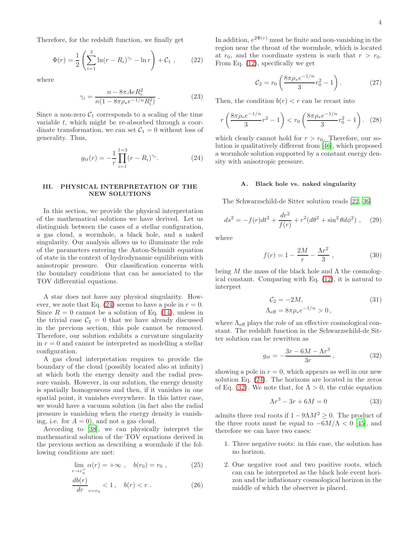Therefore, for the redshift function, we finally get

$$
\Phi(r) = \frac{1}{2} \left( \sum_{i=1}^{3} \ln(r - R_i)^{\gamma_i} - \ln r \right) + C_1 , \qquad (22)
$$

where

$$
\gamma_i = \frac{n - 8\pi AeR_i^2}{n(1 - 8\pi\rho_* e^{-1/n}R_i^2)}.
$$
 (23)

Since a non-zero  $C_1$  corresponds to a scaling of the time variable  $t$ , which might be re-absorbed through a coordinate transformation, we can set  $C_1 = 0$  without loss of generality. Thus,

<span id="page-3-1"></span>
$$
g_{tt}(r) = -\frac{1}{r} \prod_{i=1}^{1=3} (r - R_i)^{\gamma_i}.
$$
 (24)

# <span id="page-3-0"></span>III. PHYSICAL INTERPRETATION OF THE NEW SOLUTIONS

In this section, we provide the physical interpretation of the mathematical solutions we have derived. Let us distinguish between the cases of a stellar configuration, a gas cloud, a wormhole, a black hole, and a naked singularity. Our analysis allows us to illuminate the role of the parameters entering the Anton-Schmidt equation of state in the context of hydrodynamic equilibrium with anisotropic pressure. Our classification concerns with the boundary conditions that can be associated to the TOV differential equations.

A star does not have any physical singularity. However, we note that Eq.  $(24)$  seems to have a pole in  $r = 0$ . Since  $R = 0$  cannot be a solution of Eq. [\(14\)](#page-2-2), unless in the trivial case  $C_2 = 0$  that we have already discussed in the previous section, this pole cannot be removed. Therefore, our solution exhibits a curvature singularity in  $r = 0$  and cannot be interpreted as modelling a stellar configuration.

A gas cloud interpretation requires to provide the boundary of the cloud (possibly located also at infinity) at which both the energy density and the radial pressure vanish. However, in our solution, the energy density is spatially homogeneous and then, if it vanishes in one spatial point, it vanishes everywhere. In this latter case, we would have a vacuum solution (in fact also the radial pressure is vanishing when the energy density is vanishing, i.e. for  $A = 0$ , and not a gas cloud.

According to [\[38\]](#page-5-17), we can physically interpret the mathematical solution of the TOV equations derived in the previous section as describing a wormhole if the following conditions are met:

 $\boldsymbol{r}$ 

$$
\lim_{r \to r_0^+} \alpha(r) = +\infty , \quad b(r_0) = r_0 , \qquad (25)
$$

$$
\frac{db(r)}{dr}_{r=r_0} < 1, \quad b(r) < r \ . \tag{26}
$$

In addition,  $e^{2\Phi(r)}$  must be finite and non-vanishing in the region near the throat of the wormhole, which is located at  $r_0$ , and the coordinate system is such that  $r > r_0$ . From Eq. [\(12\)](#page-2-3), specifically we get

$$
C_2 = r_0 \left( \frac{8\pi \rho_* e^{-1/n}}{3} r_0^2 - 1 \right). \tag{27}
$$

Then, the condition  $b(r) < r$  can be recast into

$$
r\left(\frac{8\pi\rho_*e^{-1/n}}{3}r^2 - 1\right) < r_0\left(\frac{8\pi\rho_*e^{-1/n}}{3}r_0^2 - 1\right). \tag{28}
$$

which clearly cannot hold for  $r > r_0$ . Therefore, our solution is qualitatively different from [\[46\]](#page-5-25), which proposed a wormhole solution supported by a constant energy density with anisotropic pressure.

### A. Black hole vs. naked singularity

The Schwarzschild-de Sitter solution reads [\[22](#page-5-1), [36](#page-5-15)]

$$
ds^{2} = -f(r)dt^{2} + \frac{dr^{2}}{f(r)} + r^{2}(d\theta^{2} + \sin^{2}\theta d\phi^{2}), \quad (29)
$$

where

$$
f(r) = 1 - \frac{2M}{r} - \frac{\Lambda r^2}{3},
$$
 (30)

being  $M$  the mass of the black hole and  $\Lambda$  the cosmological constant. Comparing with Eq. [\(12\)](#page-2-3), it is natural to interpret

<span id="page-3-3"></span>
$$
C_2 = -2M,
$$
  
\n
$$
\Lambda_{\text{eff}} = 8\pi \rho_* e^{-1/n} > 0,
$$
\n(31)

where  $\Lambda_{\text{eff}}$  plays the role of an effective cosmological constant. The redshift function in the Schwarzschild-de Sitter solution can be rewritten as

<span id="page-3-2"></span>
$$
g_{tt} = -\frac{3r - 6M - \Lambda r^3}{3r},\tag{32}
$$

showing a pole in  $r = 0$ , which appears as well in our new solution Eq. [\(24\)](#page-3-1). The horizons are located in the zeros of Eq. [\(32\)](#page-3-2). We note that, for  $\Lambda > 0$ , the cubic equation

<span id="page-3-4"></span>
$$
\Lambda r^3 - 3r + 6M = 0\tag{33}
$$

admits three real roots if  $1 - 9\Lambda M^2 > 0$ . The product of the three roots must be equal to  $-6M/\Lambda < 0$  [\[45\]](#page-5-24), and therefore we can have two cases:

- 1. Three negative roots: in this case, the solution has no horizon.
- 2. One negative root and two positive roots, which can can be interpreted as the black hole event horizon and the inflationary cosmological horizon in the middle of which the observer is placed.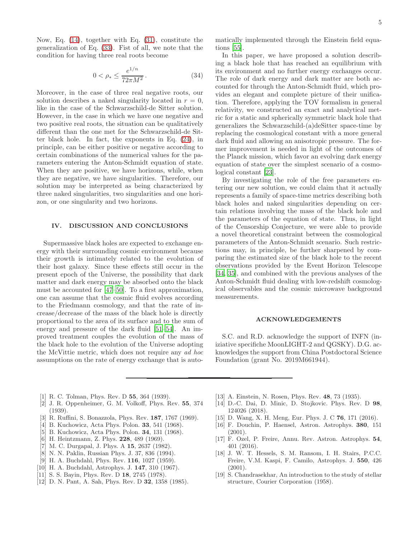Now, Eq. [\(14\)](#page-2-2), together with Eq. [\(31\)](#page-3-3), constitute the generalization of Eq. [\(33\)](#page-3-4). Fist of all, we note that the condition for having three real roots become

$$
0 < \rho_* \le \frac{e^{1/n}}{72\pi M^2} \,. \tag{34}
$$

Moreover, in the case of three real negative roots, our solution describes a naked singularity located in  $r = 0$ , like in the case of the Schwarzschild-de Sitter solution. However, in the case in which we have one negative and two positive real roots, the situation can be qualitatively different than the one met for the Schwarzschild-de Sitter black hole. In fact, the exponents in Eq. [\(24\)](#page-3-1), in principle, can be either positive or negative according to certain combinations of the numerical values for the parameters entering the Anton-Schmidt equation of state. When they are positive, we have horizons, while, when they are negative, we have singularities. Therefore, our solution may be interpreted as being characterized by three naked singularities, two singularities and one horizon, or one singularity and two horizons.

### <span id="page-4-7"></span>IV. DISCUSSION AND CONCLUSIONS

Supermassive black holes are expected to exchange energy with their surrounding cosmic environment because their growth is intimately related to the evolution of their host galaxy. Since these effects still occur in the present epoch of the Universe, the possibility that dark matter and dark energy may be absorbed onto the black must be accounted for [\[47](#page-5-26)[–50\]](#page-5-27). To a first approximation, one can assume that the cosmic fluid evolves according to the Friedmann cosmology, and that the rate of increase/decrease of the mass of the black hole is directly proportional to the area of its surface and to the sum of energy and pressure of the dark fluid [\[51](#page-5-28)[–54\]](#page-5-29). An improved treatment couples the evolution of the mass of the black hole to the evolution of the Universe adopting the McVittie metric, which does not require any ad hoc assumptions on the rate of energy exchange that is automatically implemented through the Einstein field equations [\[55](#page-5-30)].

In this paper, we have proposed a solution describing a black hole that has reached an equilibrium with its environment and no further energy exchanges occur. The role of dark energy and dark matter are both accounted for through the Anton-Schmidt fluid, which provides an elegant and complete picture of their unification. Therefore, applying the TOV formalism in general relativity, we constructed an exact and analytical metric for a static and spherically symmetric black hole that generalizes the Schwarzschild-(a)deSitter space-time by replacing the cosmological constant with a more general dark fluid and allowing an anisotropic pressure. The former improvement is needed in light of the outcomes of the Planck mission, which favor an evolving dark energy equation of state over the simplest scenario of a cosmological constant [\[23\]](#page-5-2).

By investigating the role of the free parameters entering our new solution, we could claim that it actually represents a family of space-time metrics describing both black holes and naked singularities depending on certain relations involving the mass of the black hole and the parameters of the equation of state. Thus, in light of the Censorship Conjecture, we were able to provide a novel theoretical constraint between the cosmological parameters of the Anton-Schmidt scenario. Such restrictions may, in principle, be further sharpened by comparing the estimated size of the black hole to the recent observations provided by the Event Horizon Telescope [\[34,](#page-5-13) [35\]](#page-5-14), and combined with the previous analyses of the Anton-Schmidt fluid dealing with low-redshift cosmological observables and the cosmic microwave background measurements.

### ACKNOWLEDGEMENTS

S.C. and R.D. acknowledge the support of INFN (iniziative specifiche MoonLIGHT-2 and QGSKY). D.G. acknowledges the support from China Postdoctoral Science Foundation (grant No. 2019M661944).

- <span id="page-4-0"></span>[1] R. C. Tolman, Phys. Rev. D **55**, 364 (1939).
- [2] J. R. Oppenheimer, G. M. Volkoff, Phys. Rev. 55, 374 (1939).
- <span id="page-4-1"></span>[3] R. Ruffini, S. Bonazzola, Phys. Rev. 187, 1767 (1969).
- <span id="page-4-2"></span>[4] B. Kuchowicz, Acta Phys. Polon. 33, 541 (1968).
- [5] B. Kuchowicz, Acta Phys. Polon. 34, 131 (1968).
- [6] H. Heintzmann, Z. Phys. **228**, 489 (1969).
- [7] M. C. Durgapal, J. Phys. A **15**, 2637 (1982).
- [8] N. N. Paklin, Russian Phys. J. 37, 836 (1994).
- [9] H. A. Buchdahl, Phys. Rev. **116**, 1027 (1959).
- [10] H. A. Buchdahl, Astrophys. J. 147, 310 (1967).
- [11] S. S. Bayin, Phys. Rev. D 18, 2745 (1978).
- [12] D. N. Pant, A. Sah, Phys. Rev. D 32, 1358 (1985).
- [13] A. Einstein, N. Rosen, Phys. Rev. **48**, 73 (1935).
- [14] D.-C. Dai, D. Minic, D. Stojkovic. Phys. Rev. D 98, 124026 (2018).
- <span id="page-4-3"></span>[15] D. Wang, X. H. Meng, Eur. Phys. J. C **76**, 171 (2016).
- <span id="page-4-4"></span>[16] F. Douchin, P. Haensel, Astron. Astrophys. 380, 151 (2001).
- [17] F. Ozel, P. Freire, Annu. Rev. Astron. Astrophys. 54, 401 (2016).
- <span id="page-4-5"></span>[18] J. W. T. Hessels, S. M. Ransom, I. H. Stairs, P.C.C. Freire, V.M. Kaspi, F. Camilo, Astrophys. J. 550, 426  $(2001).$
- <span id="page-4-6"></span>[19] S. Chandrasekhar, An introduction to the study of stellar structure, Courier Corporation (1958).